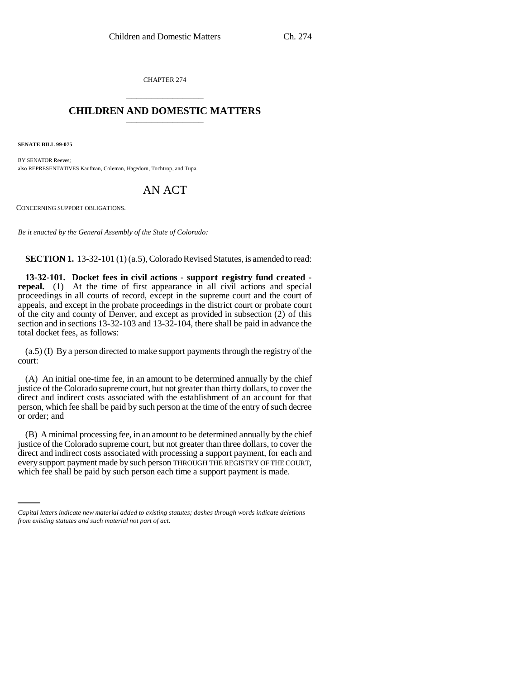CHAPTER 274 \_\_\_\_\_\_\_\_\_\_\_\_\_\_\_

## **CHILDREN AND DOMESTIC MATTERS** \_\_\_\_\_\_\_\_\_\_\_\_\_\_\_

**SENATE BILL 99-075** 

BY SENATOR Reeves: also REPRESENTATIVES Kaufman, Coleman, Hagedorn, Tochtrop, and Tupa.

## AN ACT

CONCERNING SUPPORT OBLIGATIONS.

*Be it enacted by the General Assembly of the State of Colorado:*

**SECTION 1.** 13-32-101 (1) (a.5), Colorado Revised Statutes, is amended to read:

**13-32-101. Docket fees in civil actions - support registry fund created repeal.** (1) At the time of first appearance in all civil actions and special proceedings in all courts of record, except in the supreme court and the court of appeals, and except in the probate proceedings in the district court or probate court of the city and county of Denver, and except as provided in subsection (2) of this section and in sections 13-32-103 and 13-32-104, there shall be paid in advance the total docket fees, as follows:

(a.5) (I) By a person directed to make support payments through the registry of the court:

(A) An initial one-time fee, in an amount to be determined annually by the chief justice of the Colorado supreme court, but not greater than thirty dollars, to cover the direct and indirect costs associated with the establishment of an account for that person, which fee shall be paid by such person at the time of the entry of such decree or order; and

every support payment made by such person THROUGH THE REGISTRY OF THE COURT, (B) A minimal processing fee, in an amount to be determined annually by the chief justice of the Colorado supreme court, but not greater than three dollars, to cover the direct and indirect costs associated with processing a support payment, for each and which fee shall be paid by such person each time a support payment is made.

*Capital letters indicate new material added to existing statutes; dashes through words indicate deletions from existing statutes and such material not part of act.*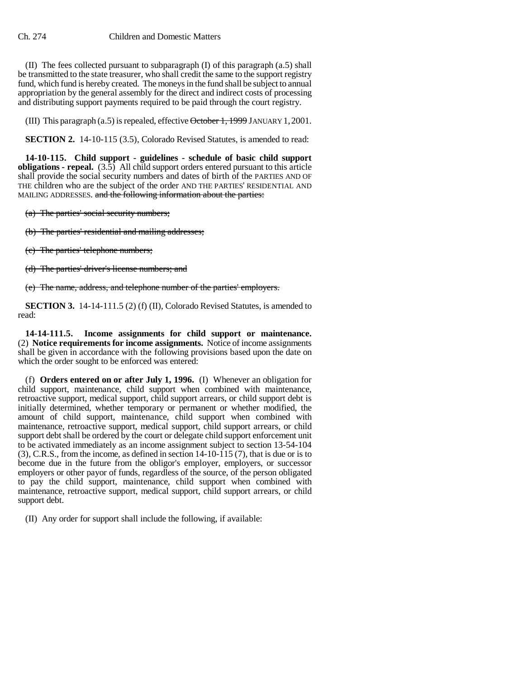(II) The fees collected pursuant to subparagraph (I) of this paragraph (a.5) shall be transmitted to the state treasurer, who shall credit the same to the support registry fund, which fund is hereby created. The moneys in the fund shall be subject to annual appropriation by the general assembly for the direct and indirect costs of processing and distributing support payments required to be paid through the court registry.

(III) This paragraph  $(a.5)$  is repealed, effective  $\theta$ ctober 1, 1999 JANUARY 1, 2001.

**SECTION 2.** 14-10-115 (3.5), Colorado Revised Statutes, is amended to read:

**14-10-115. Child support - guidelines - schedule of basic child support obligations - repeal.** (3.5) All child support orders entered pursuant to this article shall provide the social security numbers and dates of birth of the PARTIES AND OF THE children who are the subject of the order AND THE PARTIES' RESIDENTIAL AND MAILING ADDRESSES. and the following information about the parties:

(a) The parties' social security numbers;

(b) The parties' residential and mailing addresses;

(c) The parties' telephone numbers;

(d) The parties' driver's license numbers; and

(e) The name, address, and telephone number of the parties' employers.

**SECTION 3.** 14-14-111.5 (2) (f) (II), Colorado Revised Statutes, is amended to read:

**14-14-111.5. Income assignments for child support or maintenance.** (2) **Notice requirements for income assignments.** Notice of income assignments shall be given in accordance with the following provisions based upon the date on which the order sought to be enforced was entered:

(f) **Orders entered on or after July 1, 1996.** (I) Whenever an obligation for child support, maintenance, child support when combined with maintenance, retroactive support, medical support, child support arrears, or child support debt is initially determined, whether temporary or permanent or whether modified, the amount of child support, maintenance, child support when combined with maintenance, retroactive support, medical support, child support arrears, or child support debt shall be ordered by the court or delegate child support enforcement unit to be activated immediately as an income assignment subject to section 13-54-104 (3), C.R.S., from the income, as defined in section 14-10-115 (7), that is due or is to become due in the future from the obligor's employer, employers, or successor employers or other payor of funds, regardless of the source, of the person obligated to pay the child support, maintenance, child support when combined with maintenance, retroactive support, medical support, child support arrears, or child support debt.

(II) Any order for support shall include the following, if available: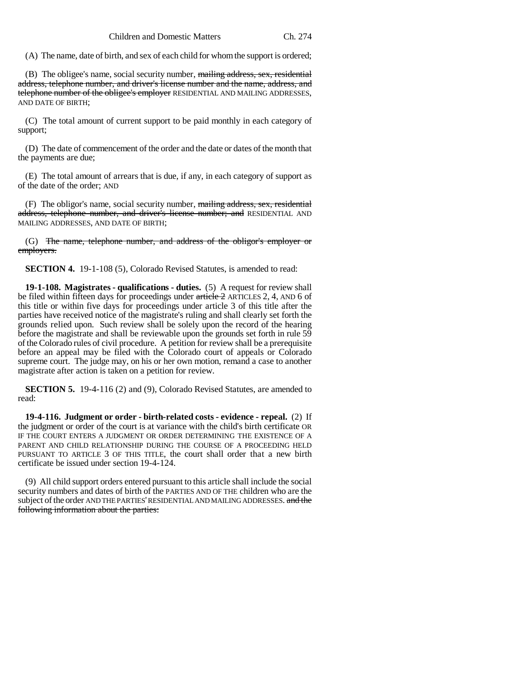(A) The name, date of birth, and sex of each child for whom the support is ordered;

(B) The obligee's name, social security number, mailing address, sex, residential address, telephone number, and driver's license number and the name, address, and telephone number of the obligee's employer RESIDENTIAL AND MAILING ADDRESSES, AND DATE OF BIRTH;

(C) The total amount of current support to be paid monthly in each category of support;

(D) The date of commencement of the order and the date or dates of the month that the payments are due;

(E) The total amount of arrears that is due, if any, in each category of support as of the date of the order; AND

(F) The obligor's name, social security number, mailing address, sex, residential address, telephone number, and driver's license number; and RESIDENTIAL AND MAILING ADDRESSES, AND DATE OF BIRTH;

(G) The name, telephone number, and address of the obligor's employer or employers.

**SECTION 4.** 19-1-108 (5), Colorado Revised Statutes, is amended to read:

**19-1-108. Magistrates - qualifications - duties.** (5) A request for review shall be filed within fifteen days for proceedings under article 2 ARTICLES 2, 4, AND 6 of this title or within five days for proceedings under article 3 of this title after the parties have received notice of the magistrate's ruling and shall clearly set forth the grounds relied upon. Such review shall be solely upon the record of the hearing before the magistrate and shall be reviewable upon the grounds set forth in rule 59 of the Colorado rules of civil procedure. A petition for review shall be a prerequisite before an appeal may be filed with the Colorado court of appeals or Colorado supreme court. The judge may, on his or her own motion, remand a case to another magistrate after action is taken on a petition for review.

**SECTION 5.** 19-4-116 (2) and (9), Colorado Revised Statutes, are amended to read:

**19-4-116. Judgment or order - birth-related costs - evidence - repeal.** (2) If the judgment or order of the court is at variance with the child's birth certificate OR IF THE COURT ENTERS A JUDGMENT OR ORDER DETERMINING THE EXISTENCE OF A PARENT AND CHILD RELATIONSHIP DURING THE COURSE OF A PROCEEDING HELD PURSUANT TO ARTICLE 3 OF THIS TITLE, the court shall order that a new birth certificate be issued under section 19-4-124.

(9) All child support orders entered pursuant to this article shall include the social security numbers and dates of birth of the PARTIES AND OF THE children who are the subject of the order AND THE PARTIES' RESIDENTIAL AND MAILING ADDRESSES. and the following information about the parties: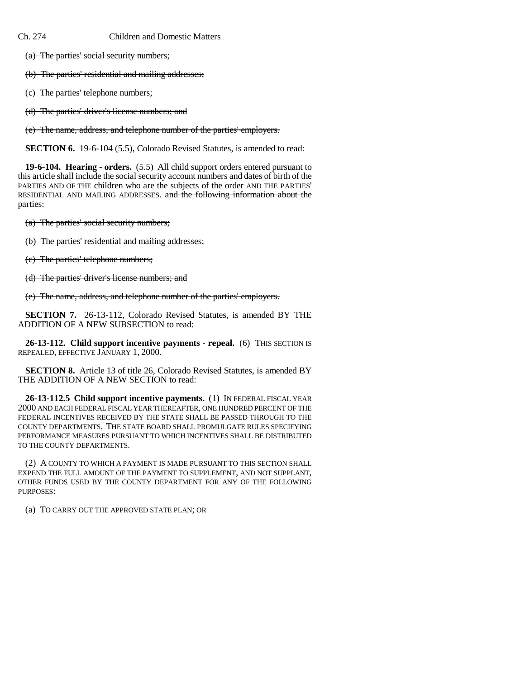Ch. 274 Children and Domestic Matters

(a) The parties' social security numbers;

(b) The parties' residential and mailing addresses;

(c) The parties' telephone numbers;

(d) The parties' driver's license numbers; and

(e) The name, address, and telephone number of the parties' employers.

**SECTION 6.** 19-6-104 (5.5), Colorado Revised Statutes, is amended to read:

**19-6-104. Hearing - orders.** (5.5) All child support orders entered pursuant to this article shall include the social security account numbers and dates of birth of the PARTIES AND OF THE children who are the subjects of the order AND THE PARTIES' RESIDENTIAL AND MAILING ADDRESSES. and the following information about the parties:

(a) The parties' social security numbers;

(b) The parties' residential and mailing addresses;

(c) The parties' telephone numbers;

(d) The parties' driver's license numbers; and

(e) The name, address, and telephone number of the parties' employers.

**SECTION 7.** 26-13-112, Colorado Revised Statutes, is amended BY THE ADDITION OF A NEW SUBSECTION to read:

**26-13-112. Child support incentive payments - repeal.** (6) THIS SECTION IS REPEALED, EFFECTIVE JANUARY 1, 2000.

**SECTION 8.** Article 13 of title 26, Colorado Revised Statutes, is amended BY THE ADDITION OF A NEW SECTION to read:

**26-13-112.5 Child support incentive payments.** (1) IN FEDERAL FISCAL YEAR 2000 AND EACH FEDERAL FISCAL YEAR THEREAFTER, ONE HUNDRED PERCENT OF THE FEDERAL INCENTIVES RECEIVED BY THE STATE SHALL BE PASSED THROUGH TO THE COUNTY DEPARTMENTS. THE STATE BOARD SHALL PROMULGATE RULES SPECIFYING PERFORMANCE MEASURES PURSUANT TO WHICH INCENTIVES SHALL BE DISTRIBUTED TO THE COUNTY DEPARTMENTS.

(2) A COUNTY TO WHICH A PAYMENT IS MADE PURSUANT TO THIS SECTION SHALL EXPEND THE FULL AMOUNT OF THE PAYMENT TO SUPPLEMENT, AND NOT SUPPLANT, OTHER FUNDS USED BY THE COUNTY DEPARTMENT FOR ANY OF THE FOLLOWING PURPOSES:

(a) TO CARRY OUT THE APPROVED STATE PLAN; OR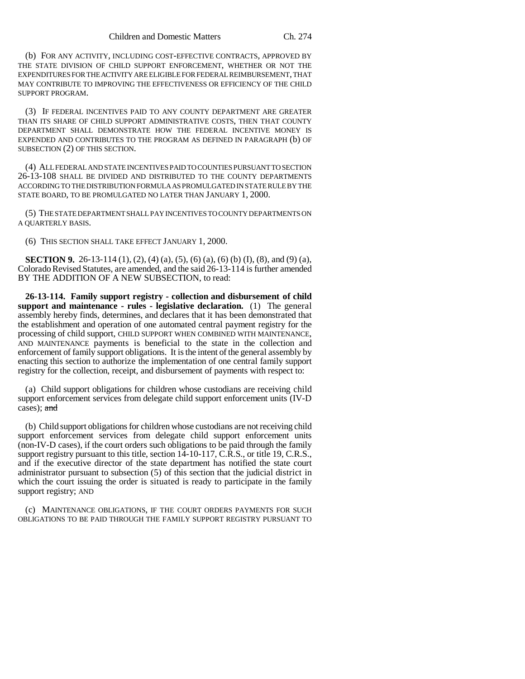(b) FOR ANY ACTIVITY, INCLUDING COST-EFFECTIVE CONTRACTS, APPROVED BY THE STATE DIVISION OF CHILD SUPPORT ENFORCEMENT, WHETHER OR NOT THE EXPENDITURES FOR THE ACTIVITY ARE ELIGIBLE FOR FEDERAL REIMBURSEMENT, THAT MAY CONTRIBUTE TO IMPROVING THE EFFECTIVENESS OR EFFICIENCY OF THE CHILD SUPPORT PROGRAM.

(3) IF FEDERAL INCENTIVES PAID TO ANY COUNTY DEPARTMENT ARE GREATER THAN ITS SHARE OF CHILD SUPPORT ADMINISTRATIVE COSTS, THEN THAT COUNTY DEPARTMENT SHALL DEMONSTRATE HOW THE FEDERAL INCENTIVE MONEY IS EXPENDED AND CONTRIBUTES TO THE PROGRAM AS DEFINED IN PARAGRAPH (b) OF SUBSECTION (2) OF THIS SECTION.

(4) ALL FEDERAL AND STATE INCENTIVES PAID TO COUNTIES PURSUANT TO SECTION 26-13-108 SHALL BE DIVIDED AND DISTRIBUTED TO THE COUNTY DEPARTMENTS ACCORDING TO THE DISTRIBUTION FORMULA AS PROMULGATED IN STATE RULE BY THE STATE BOARD, TO BE PROMULGATED NO LATER THAN JANUARY 1, 2000.

(5) THE STATE DEPARTMENT SHALL PAY INCENTIVES TO COUNTY DEPARTMENTS ON A QUARTERLY BASIS.

(6) THIS SECTION SHALL TAKE EFFECT JANUARY 1, 2000.

**SECTION 9.** 26-13-114 (1), (2), (4) (a), (5), (6) (a), (6) (b) (I), (8), and (9) (a), Colorado Revised Statutes, are amended, and the said 26-13-114 is further amended BY THE ADDITION OF A NEW SUBSECTION, to read:

**26-13-114. Family support registry - collection and disbursement of child support and maintenance - rules - legislative declaration.** (1) The general assembly hereby finds, determines, and declares that it has been demonstrated that the establishment and operation of one automated central payment registry for the processing of child support, CHILD SUPPORT WHEN COMBINED WITH MAINTENANCE, AND MAINTENANCE payments is beneficial to the state in the collection and enforcement of family support obligations. It is the intent of the general assembly by enacting this section to authorize the implementation of one central family support registry for the collection, receipt, and disbursement of payments with respect to:

(a) Child support obligations for children whose custodians are receiving child support enforcement services from delegate child support enforcement units (IV-D cases); and

(b) Child support obligations for children whose custodians are not receiving child support enforcement services from delegate child support enforcement units (non-IV-D cases), if the court orders such obligations to be paid through the family support registry pursuant to this title, section 14-10-117, C.R.S., or title 19, C.R.S., and if the executive director of the state department has notified the state court administrator pursuant to subsection (5) of this section that the judicial district in which the court issuing the order is situated is ready to participate in the family support registry; AND

(c) MAINTENANCE OBLIGATIONS, IF THE COURT ORDERS PAYMENTS FOR SUCH OBLIGATIONS TO BE PAID THROUGH THE FAMILY SUPPORT REGISTRY PURSUANT TO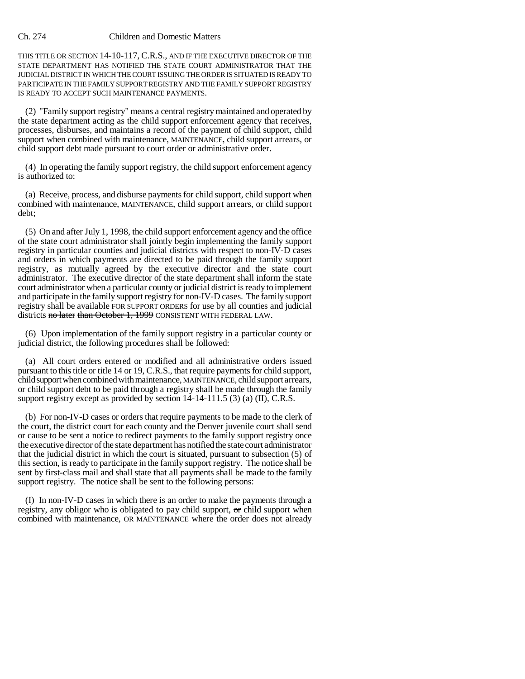## Ch. 274 Children and Domestic Matters

THIS TITLE OR SECTION 14-10-117, C.R.S., AND IF THE EXECUTIVE DIRECTOR OF THE STATE DEPARTMENT HAS NOTIFIED THE STATE COURT ADMINISTRATOR THAT THE JUDICIAL DISTRICT IN WHICH THE COURT ISSUING THE ORDER IS SITUATED IS READY TO PARTICIPATE IN THE FAMILY SUPPORT REGISTRY AND THE FAMILY SUPPORT REGISTRY IS READY TO ACCEPT SUCH MAINTENANCE PAYMENTS.

(2) "Family support registry" means a central registry maintained and operated by the state department acting as the child support enforcement agency that receives, processes, disburses, and maintains a record of the payment of child support, child support when combined with maintenance, MAINTENANCE, child support arrears, or child support debt made pursuant to court order or administrative order.

(4) In operating the family support registry, the child support enforcement agency is authorized to:

(a) Receive, process, and disburse payments for child support, child support when combined with maintenance, MAINTENANCE, child support arrears, or child support debt;

(5) On and after July 1, 1998, the child support enforcement agency and the office of the state court administrator shall jointly begin implementing the family support registry in particular counties and judicial districts with respect to non-IV-D cases and orders in which payments are directed to be paid through the family support registry, as mutually agreed by the executive director and the state court administrator. The executive director of the state department shall inform the state court administrator when a particular county or judicial district is ready to implement and participate in the family support registry for non-IV-D cases. The family support registry shall be available FOR SUPPORT ORDERS for use by all counties and judicial districts no later than October 1, 1999 CONSISTENT WITH FEDERAL LAW.

(6) Upon implementation of the family support registry in a particular county or judicial district, the following procedures shall be followed:

(a) All court orders entered or modified and all administrative orders issued pursuant to this title or title 14 or 19, C.R.S., that require payments for child support, child support when combined with maintenance, MAINTENANCE, child support arrears, or child support debt to be paid through a registry shall be made through the family support registry except as provided by section 14-14-111.5 (3) (a) (II), C.R.S.

(b) For non-IV-D cases or orders that require payments to be made to the clerk of the court, the district court for each county and the Denver juvenile court shall send or cause to be sent a notice to redirect payments to the family support registry once the executive director of the state department has notified the state court administrator that the judicial district in which the court is situated, pursuant to subsection (5) of this section, is ready to participate in the family support registry. The notice shall be sent by first-class mail and shall state that all payments shall be made to the family support registry. The notice shall be sent to the following persons:

(I) In non-IV-D cases in which there is an order to make the payments through a registry, any obligor who is obligated to pay child support,  $\sigma$  child support when combined with maintenance, OR MAINTENANCE where the order does not already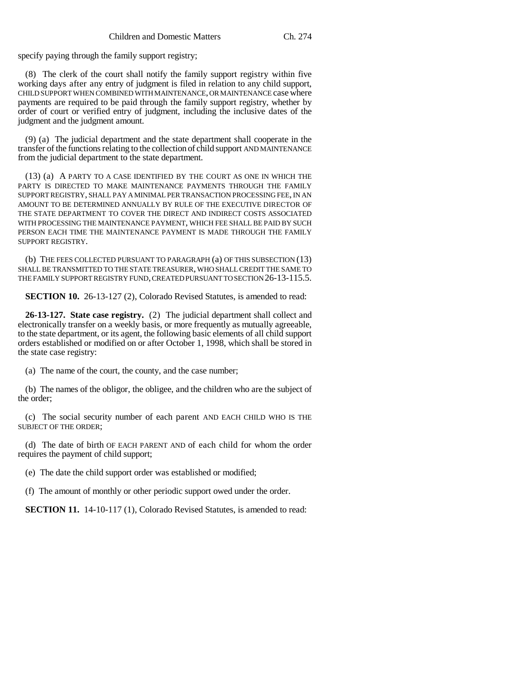specify paying through the family support registry;

(8) The clerk of the court shall notify the family support registry within five working days after any entry of judgment is filed in relation to any child support, CHILD SUPPORT WHEN COMBINED WITH MAINTENANCE, OR MAINTENANCE case where payments are required to be paid through the family support registry, whether by order of court or verified entry of judgment, including the inclusive dates of the judgment and the judgment amount.

(9) (a) The judicial department and the state department shall cooperate in the transfer of the functions relating to the collection of child support AND MAINTENANCE from the judicial department to the state department.

(13) (a) A PARTY TO A CASE IDENTIFIED BY THE COURT AS ONE IN WHICH THE PARTY IS DIRECTED TO MAKE MAINTENANCE PAYMENTS THROUGH THE FAMILY SUPPORT REGISTRY, SHALL PAY A MINIMAL PER TRANSACTION PROCESSING FEE, IN AN AMOUNT TO BE DETERMINED ANNUALLY BY RULE OF THE EXECUTIVE DIRECTOR OF THE STATE DEPARTMENT TO COVER THE DIRECT AND INDIRECT COSTS ASSOCIATED WITH PROCESSING THE MAINTENANCE PAYMENT, WHICH FEE SHALL BE PAID BY SUCH PERSON EACH TIME THE MAINTENANCE PAYMENT IS MADE THROUGH THE FAMILY SUPPORT REGISTRY.

(b) THE FEES COLLECTED PURSUANT TO PARAGRAPH (a) OF THIS SUBSECTION (13) SHALL BE TRANSMITTED TO THE STATE TREASURER, WHO SHALL CREDIT THE SAME TO THE FAMILY SUPPORT REGISTRY FUND, CREATED PURSUANT TO SECTION 26-13-115.5.

**SECTION 10.** 26-13-127 (2), Colorado Revised Statutes, is amended to read:

**26-13-127. State case registry.** (2) The judicial department shall collect and electronically transfer on a weekly basis, or more frequently as mutually agreeable, to the state department, or its agent, the following basic elements of all child support orders established or modified on or after October 1, 1998, which shall be stored in the state case registry:

(a) The name of the court, the county, and the case number;

(b) The names of the obligor, the obligee, and the children who are the subject of the order;

(c) The social security number of each parent AND EACH CHILD WHO IS THE SUBJECT OF THE ORDER;

(d) The date of birth OF EACH PARENT AND of each child for whom the order requires the payment of child support;

(e) The date the child support order was established or modified;

(f) The amount of monthly or other periodic support owed under the order.

**SECTION 11.** 14-10-117 (1), Colorado Revised Statutes, is amended to read: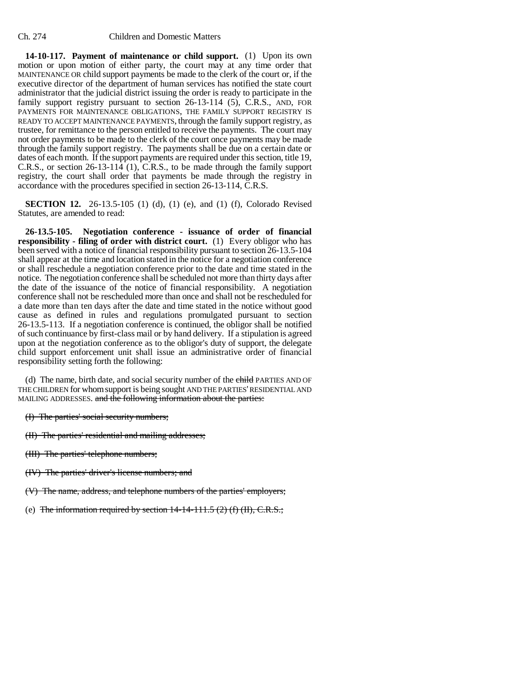**14-10-117. Payment of maintenance or child support.** (1) Upon its own motion or upon motion of either party, the court may at any time order that MAINTENANCE OR child support payments be made to the clerk of the court or, if the executive director of the department of human services has notified the state court administrator that the judicial district issuing the order is ready to participate in the family support registry pursuant to section 26-13-114 (5), C.R.S., AND, FOR PAYMENTS FOR MAINTENANCE OBLIGATIONS, THE FAMILY SUPPORT REGISTRY IS READY TO ACCEPT MAINTENANCE PAYMENTS, through the family support registry, as trustee, for remittance to the person entitled to receive the payments. The court may not order payments to be made to the clerk of the court once payments may be made through the family support registry. The payments shall be due on a certain date or dates of each month. If the support payments are required under this section, title 19, C.R.S., or section 26-13-114 (1), C.R.S., to be made through the family support registry, the court shall order that payments be made through the registry in accordance with the procedures specified in section 26-13-114, C.R.S.

**SECTION 12.** 26-13.5-105 (1) (d), (1) (e), and (1) (f), Colorado Revised Statutes, are amended to read:

**26-13.5-105. Negotiation conference - issuance of order of financial responsibility - filing of order with district court.** (1) Every obligor who has been served with a notice of financial responsibility pursuant to section 26-13.5-104 shall appear at the time and location stated in the notice for a negotiation conference or shall reschedule a negotiation conference prior to the date and time stated in the notice. The negotiation conference shall be scheduled not more than thirty days after the date of the issuance of the notice of financial responsibility. A negotiation conference shall not be rescheduled more than once and shall not be rescheduled for a date more than ten days after the date and time stated in the notice without good cause as defined in rules and regulations promulgated pursuant to section 26-13.5-113. If a negotiation conference is continued, the obligor shall be notified of such continuance by first-class mail or by hand delivery. If a stipulation is agreed upon at the negotiation conference as to the obligor's duty of support, the delegate child support enforcement unit shall issue an administrative order of financial responsibility setting forth the following:

(d) The name, birth date, and social security number of the child PARTIES AND OF THE CHILDREN for whom support is being sought AND THE PARTIES' RESIDENTIAL AND MAILING ADDRESSES. and the following information about the parties:

- (I) The parties' social security numbers;
- (II) The parties' residential and mailing addresses;
- (III) The parties' telephone numbers;
- (IV) The parties' driver's license numbers; and
- (V) The name, address, and telephone numbers of the parties' employers;
- (e) The information required by section  $14-14-111.5$  (2) (f) (II), C.R.S.;